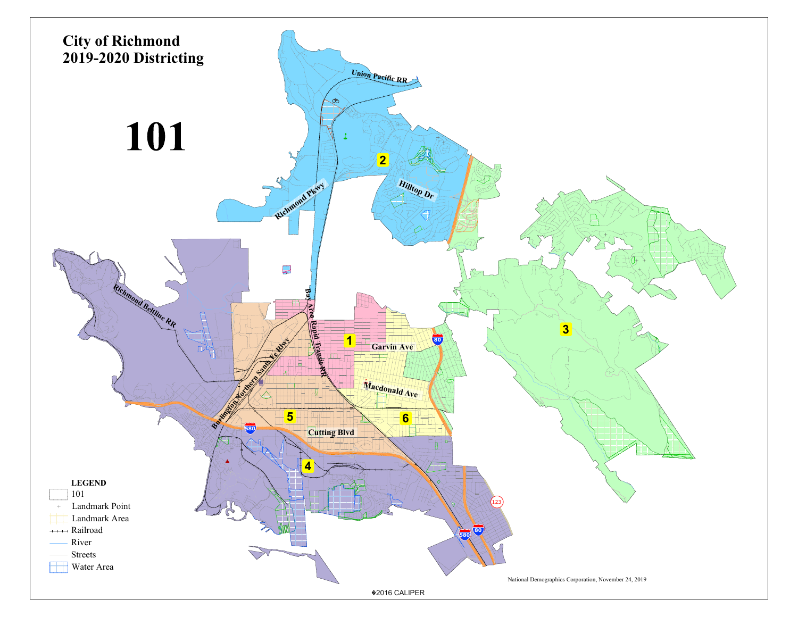